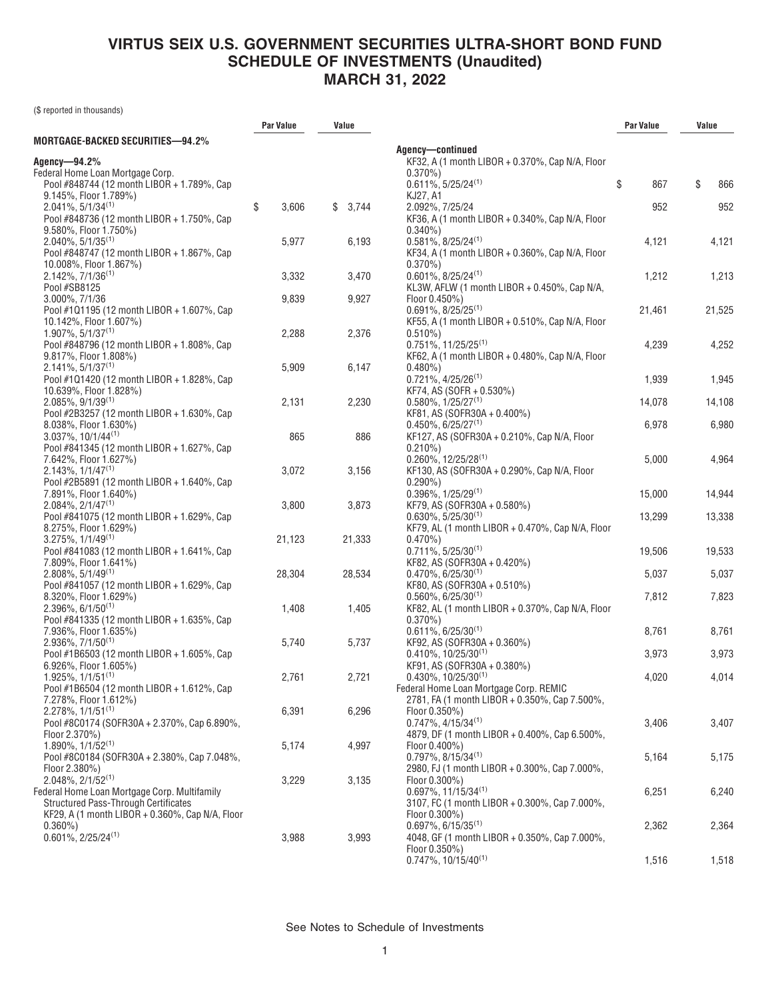(\$ reported in thousands)

|                                                                     | Par Value   | Value   |                                                                                        | Par Value | Value     |
|---------------------------------------------------------------------|-------------|---------|----------------------------------------------------------------------------------------|-----------|-----------|
| MORTGAGE-BACKED SECURITIES—94.2%                                    |             |         |                                                                                        |           |           |
| Agency-94.2%                                                        |             |         | Agency-continued<br>KF32, A (1 month LIBOR + 0.370%, Cap N/A, Floor                    |           |           |
| Federal Home Loan Mortgage Corp.                                    |             |         | $0.370\%$                                                                              |           |           |
| Pool #848744 (12 month LIBOR + 1.789%, Cap                          |             |         | $0.611\%, 5/25/24^{(1)}$                                                               | \$<br>867 | \$<br>866 |
| 9.145%, Floor 1.789%)                                               |             |         | KJ27, A1                                                                               |           |           |
| $2.041\%, 5/1/34^{(1)}$                                             | \$<br>3,606 | \$3,744 | 2.092%, 7/25/24                                                                        | 952       | 952       |
| Pool #848736 (12 month LIBOR + 1.750%, Cap                          |             |         | KF36, A (1 month LIBOR + 0.340%, Cap N/A, Floor                                        |           |           |
| 9.580%, Floor 1.750%)                                               |             |         | $0.340\%$                                                                              |           |           |
| $2.040\%$ , 5/1/35 <sup>(1)</sup>                                   | 5,977       | 6,193   | $0.581\%, 8/25/24^{(1)}$                                                               | 4,121     | 4,121     |
| Pool #848747 (12 month LIBOR + 1.867%, Cap                          |             |         | KF34, A (1 month LIBOR + 0.360%, Cap N/A, Floor                                        |           |           |
| 10.008%, Floor 1.867%)                                              |             |         | $0.370\%$                                                                              |           |           |
| $2.142\%$ , $7/1/36^{(1)}$                                          | 3,332       | 3,470   | $0.601\%, 8/25/24^{(1)}$                                                               | 1,212     | 1,213     |
| Pool #SB8125                                                        |             |         | KL3W, AFLW (1 month LIBOR + 0.450%, Cap N/A,                                           |           |           |
| 3.000%, 7/1/36                                                      | 9,839       | 9,927   | Floor 0.450%)                                                                          |           |           |
| Pool #101195 (12 month LIBOR + 1.607%, Cap                          |             |         | $0.691\%, 8/25/25^{(1)}$                                                               | 21,461    | 21,525    |
| 10.142%, Floor 1.607%)                                              |             |         | KF55, A (1 month LIBOR + 0.510%, Cap N/A, Floor                                        |           |           |
| $1.907\%$ , 5/1/37 <sup>(1)</sup>                                   | 2,288       | 2,376   | $0.510\%)$                                                                             |           |           |
| Pool #848796 (12 month LIBOR + 1.808%, Cap                          |             |         | $0.751\%$ , 11/25/25 <sup>(1)</sup>                                                    | 4,239     | 4,252     |
| 9.817%, Floor 1.808%)                                               |             |         | KF62, A (1 month LIBOR + 0.480%, Cap N/A, Floor                                        |           |           |
| $2.141\%, 5/1/37^{(1)}$                                             | 5,909       | 6,147   | $0.480\%$                                                                              |           |           |
| Pool #101420 (12 month LIBOR + 1.828%, Cap                          |             |         | $0.721\%, 4/25/26^{(1)}$                                                               | 1,939     | 1,945     |
| 10.639%, Floor 1.828%)                                              |             |         | KF74, AS (SOFR + 0.530%)                                                               |           |           |
| $2.085\%, 9/1/39^{(1)}$                                             | 2,131       | 2,230   | $0.580\%$ , $1/25/27^{(1)}$                                                            | 14,078    | 14,108    |
| Pool #2B3257 (12 month LIBOR + 1.630%, Cap                          |             |         | KF81, AS (SOFR30A + 0.400%)                                                            |           |           |
| 8.038%, Floor 1.630%)                                               |             |         | $0.450\%$ , 6/25/27 <sup>(1)</sup>                                                     | 6,978     | 6,980     |
| $3.037\%$ , $10/1/44^{(1)}$                                         | 865         | 886     | KF127, AS (SOFR30A + 0.210%, Cap N/A, Floor                                            |           |           |
| Pool #841345 (12 month LIBOR + 1.627%, Cap                          |             |         | $0.210\%$                                                                              |           |           |
| 7.642%, Floor 1.627%)                                               |             |         | $0.260\%$ , 12/25/28 <sup>(1)</sup>                                                    | 5,000     | 4,964     |
| $2.143\%, 1/1/47^{(1)}$                                             | 3,072       | 3,156   | KF130, AS (SOFR30A + 0.290%, Cap N/A, Floor                                            |           |           |
| Pool #2B5891 (12 month LIBOR + 1.640%, Cap                          |             |         | $0.290\%$                                                                              |           |           |
| 7.891%, Floor 1.640%)                                               |             |         | $0.396\%$ , $1/25/29^{(1)}$                                                            | 15,000    | 14,944    |
| $2.084\%, 2/1/47^{(1)}$                                             | 3,800       | 3,873   | KF79, AS (SOFR30A + 0.580%)                                                            |           |           |
| Pool #841075 (12 month LIBOR + 1.629%, Cap<br>8.275%, Floor 1.629%) |             |         | $0.630\%$ , 5/25/30 <sup>(1)</sup><br>KF79, AL (1 month LIBOR + 0.470%, Cap N/A, Floor | 13,299    | 13,338    |
| $3.275\%$ , $1/1/49^{(1)}$                                          | 21,123      | 21,333  | $0.470\%$                                                                              |           |           |
| Pool #841083 (12 month LIBOR + 1.641%, Cap                          |             |         | $0.711\%, 5/25/30^{(1)}$                                                               | 19,506    | 19,533    |
| 7.809%, Floor 1.641%)                                               |             |         | KF82, AS (SOFR30A + 0.420%)                                                            |           |           |
| $2.808\%, 5/1/49^{(1)}$                                             | 28,304      | 28,534  | $0.470\%$ , 6/25/30 <sup>(1)</sup>                                                     | 5,037     | 5,037     |
| Pool #841057 (12 month LIBOR + 1.629%, Cap                          |             |         | KF80, AS (SOFR30A + 0.510%)                                                            |           |           |
| 8.320%, Floor 1.629%)                                               |             |         | $0.560\%$ , 6/25/30 <sup>(1)</sup>                                                     | 7,812     | 7,823     |
| $2.396\%$ , 6/1/50 <sup>(1)</sup>                                   | 1,408       | 1,405   | KF82, AL (1 month LIBOR + 0.370%, Cap N/A, Floor                                       |           |           |
| Pool #841335 (12 month LIBOR + 1.635%, Cap                          |             |         | $0.370\%$                                                                              |           |           |
| 7.936%, Floor 1.635%)                                               |             |         | $0.611\%, 6/25/30^{(1)}$                                                               | 8,761     | 8,761     |
| $2.936\%, 7/1/50^{(1)}$                                             | 5,740       | 5,737   | KF92, AS (SOFR30A + 0.360%)                                                            |           |           |
| Pool #1B6503 (12 month LIBOR + 1.605%, Cap                          |             |         | $0.410\%$ , 10/25/30 <sup>(1)</sup>                                                    | 3,973     | 3,973     |
| 6.926%, Floor 1.605%)                                               |             |         | KF91, AS (SOFR30A + 0.380%)                                                            |           |           |
| $1.925\%$ , $1/1/51^{(1)}$                                          | 2,761       | 2,721   | $0.430\%$ , 10/25/30 <sup>(1)</sup>                                                    | 4,020     | 4,014     |
| Pool #1B6504 (12 month LIBOR + 1.612%, Cap                          |             |         | Federal Home Loan Mortgage Corp. REMIC                                                 |           |           |
| 7.278%, Floor 1.612%)                                               |             |         | 2781, FA (1 month LIBOR + 0.350%, Cap 7.500%,                                          |           |           |
| $2.278\%, 1/1/51^{(1)}$                                             | 6,391       | 6,296   | Floor 0.350%)                                                                          |           |           |
| Pool #8C0174 (SOFR30A + 2.370%, Cap 6.890%,                         |             |         | $0.747\%$ , 4/15/34 <sup>(1)</sup>                                                     | 3,406     | 3,407     |
| Floor 2.370%)                                                       |             |         | 4879, DF (1 month LIBOR + 0.400%, Cap 6.500%,                                          |           |           |
| $1.890\%$ , $1/1/52^{(1)}$                                          | 5,174       | 4,997   | Floor 0.400%)                                                                          |           |           |
| Pool #8C0184 (SOFR30A + 2.380%, Cap 7.048%,                         |             |         | $0.797\%$ , 8/15/34 <sup>(1)</sup>                                                     | 5,164     | 5,175     |
| Floor 2.380%)                                                       |             |         | 2980, FJ (1 month LIBOR + 0.300%, Cap 7.000%,                                          |           |           |
| $2.048\%, 2/1/52^{(1)}$                                             | 3,229       | 3,135   | Floor 0.300%)                                                                          |           |           |
| Federal Home Loan Mortgage Corp. Multifamily                        |             |         | $0.697\%$ , 11/15/34 <sup>(1)</sup>                                                    | 6,251     | 6,240     |
| <b>Structured Pass-Through Certificates</b>                         |             |         | 3107, FC (1 month LIBOR + 0.300%, Cap 7.000%,                                          |           |           |
| KF29, A (1 month LIBOR + 0.360%, Cap N/A, Floor                     |             |         | Floor 0.300%)                                                                          |           |           |
| $0.360\%$                                                           |             |         | $0.697\%$ , 6/15/35 <sup>(1)</sup>                                                     | 2,362     | 2,364     |
| $0.601\%, 2/25/24^{(1)}$                                            | 3,988       | 3,993   | 4048, GF (1 month LIBOR + 0.350%, Cap 7.000%,                                          |           |           |
|                                                                     |             |         | Floor 0.350%)                                                                          |           |           |
|                                                                     |             |         | $0.747\%$ , 10/15/40 <sup>(1)</sup>                                                    | 1,516     | 1,518     |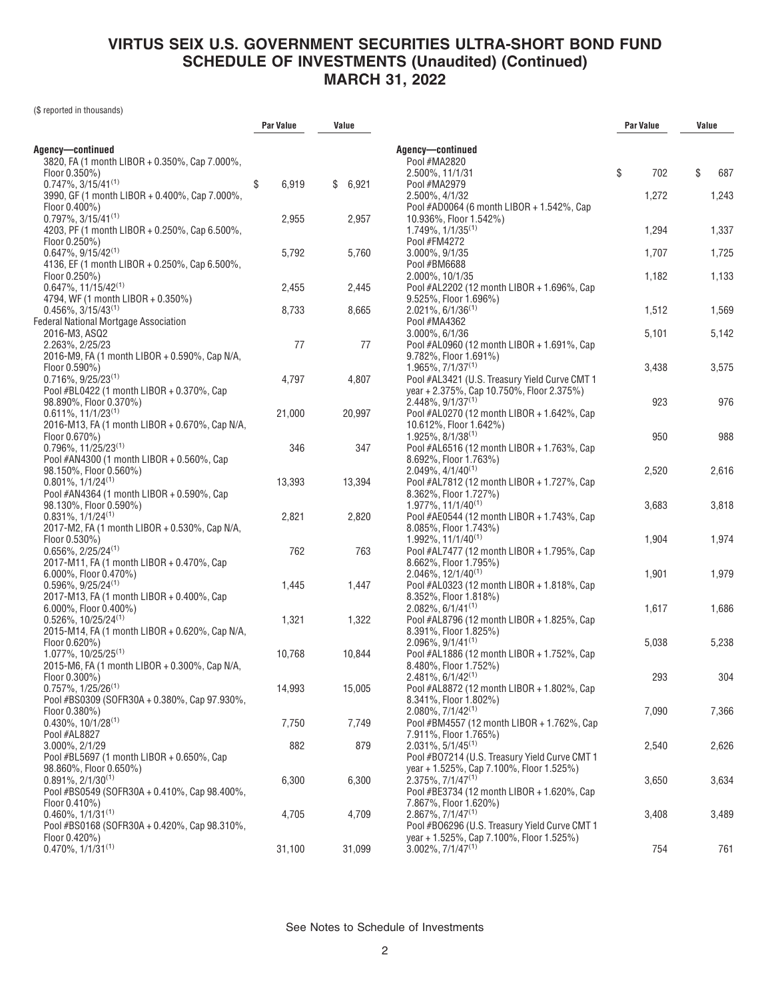(\$ reported in thousands)

|                                                                      | Par Value   | Value       |                                                                                  | Par Value | Value     |
|----------------------------------------------------------------------|-------------|-------------|----------------------------------------------------------------------------------|-----------|-----------|
|                                                                      |             |             |                                                                                  |           |           |
| Agency-continued<br>3820, FA (1 month LIBOR + 0.350%, Cap 7.000%,    |             |             | Agency-continued<br>Pool #MA2820                                                 |           |           |
| Floor $0.350\%$ )                                                    |             |             | 2.500%, 11/1/31                                                                  | \$<br>702 | \$<br>687 |
| $0.747\%$ , 3/15/41 <sup>(1)</sup>                                   | \$<br>6,919 | \$<br>6,921 | Pool #MA2979                                                                     |           |           |
| 3990, GF (1 month LIBOR + 0.400%, Cap 7.000%,                        |             |             | 2.500%, 4/1/32                                                                   | 1,272     | 1,243     |
| Floor 0.400%)                                                        |             |             | Pool #AD0064 (6 month LIBOR + 1.542%, Cap                                        |           |           |
| $0.797\%$ , 3/15/41 <sup>(1)</sup>                                   | 2,955       | 2,957       | 10.936%, Floor 1.542%)                                                           |           |           |
| 4203, PF (1 month LIBOR + 0.250%, Cap 6.500%,                        |             |             | $1.749\%$ , $1/1/35^{(1)}$                                                       | 1,294     | 1,337     |
| Floor $0.250\%$ )                                                    |             |             | Pool #FM4272                                                                     |           |           |
| $0.647\%$ , 9/15/42 <sup>(1)</sup>                                   | 5,792       | 5,760       | 3.000%, 9/1/35                                                                   | 1,707     | 1,725     |
| 4136, EF (1 month LIBOR + 0.250%, Cap 6.500%,                        |             |             | Pool #BM6688                                                                     |           |           |
| Floor 0.250%)                                                        |             |             | 2.000%, 10/1/35                                                                  | 1,182     | 1,133     |
| $0.647\%$ , 11/15/42 <sup>(1)</sup>                                  | 2,455       | 2,445       | Pool #AL2202 (12 month LIBOR + 1.696%, Cap                                       |           |           |
| 4794, WF (1 month LIBOR + 0.350%)                                    |             |             | 9.525%, Floor 1.696%)                                                            |           |           |
| $0.456\%$ , 3/15/43 <sup>(1)</sup>                                   | 8,733       | 8,665       | $2.021\%$ , 6/1/36 <sup>(1)</sup>                                                | 1,512     | 1,569     |
| Federal National Mortgage Association                                |             |             | Pool #MA4362                                                                     |           |           |
| 2016-M3, ASQ2                                                        |             |             | 3.000%, 6/1/36                                                                   | 5,101     | 5,142     |
| 2.263%, 2/25/23                                                      | 77          | 77          | Pool #AL0960 (12 month LIBOR + 1.691%, Cap                                       |           |           |
| 2016-M9, FA (1 month LIBOR + 0.590%, Cap N/A,                        |             |             | 9.782%, Floor 1.691%)                                                            |           |           |
| Floor 0.590%)                                                        |             |             | $1.965\%, 7/1/37^{(1)}$                                                          | 3,438     | 3,575     |
| $0.716\%, 9/25/23^{(1)}$                                             | 4,797       | 4,807       | Pool #AL3421 (U.S. Treasury Yield Curve CMT 1                                    |           |           |
| Pool #BL0422 (1 month LIBOR + 0.370%, Cap                            |             |             | year + 2.375%, Cap 10.750%, Floor 2.375%)                                        |           |           |
| 98.890%, Floor 0.370%)                                               |             |             | $2.448\%$ , 9/1/37 <sup>(1)</sup>                                                | 923       | 976       |
| $0.611\%, 11/1/23^{(1)}$                                             | 21,000      | 20,997      | Pool #AL0270 (12 month LIBOR + 1.642%, Cap                                       |           |           |
| 2016-M13, FA (1 month LIBOR + 0.670%, Cap N/A,                       |             |             | 10.612%, Floor 1.642%)                                                           |           |           |
| Floor 0.670%)                                                        |             |             | $1.925\%, 8/1/38^{(1)}$                                                          | 950       | 988       |
| $0.796\%$ . 11/25/23 <sup>(1)</sup>                                  | 346         | 347         | Pool #AL6516 (12 month LIBOR + 1.763%, Cap                                       |           |           |
| Pool #AN4300 (1 month LIBOR + 0.560%, Cap                            |             |             | 8.692%, Floor 1.763%)                                                            |           |           |
| 98.150%, Floor 0.560%)                                               |             |             | $2.049\%$ , $4/1/40^{(1)}$                                                       | 2,520     | 2,616     |
| $0.801\%, 1/1/24^{(1)}$                                              | 13,393      | 13,394      | Pool #AL7812 (12 month LIBOR + 1.727%, Cap                                       |           |           |
| Pool #AN4364 (1 month LIBOR + 0.590%, Cap                            |             |             | 8.362%, Floor 1.727%)                                                            |           |           |
| 98.130%, Floor 0.590%)                                               |             |             | 1.977%, 11/1/40 <sup>(1)</sup>                                                   | 3,683     | 3,818     |
| $0.831\%, 1/1/24^{(1)}$                                              | 2,821       | 2,820       | Pool #AE0544 (12 month LIBOR + 1.743%, Cap                                       |           |           |
| 2017-M2, FA (1 month LIBOR + 0.530%, Cap N/A,                        |             |             | 8.085%, Floor 1.743%)                                                            |           |           |
|                                                                      |             |             | $1.992\%$ , $11/1/40^{(1)}$                                                      | 1,904     |           |
| Floor 0.530%)<br>$0.656\%$ , 2/25/24 <sup>(1)</sup>                  | 762         | 763         | Pool #AL7477 (12 month LIBOR + 1.795%, Cap                                       |           | 1,974     |
| 2017-M11, FA (1 month LIBOR + 0.470%, Cap                            |             |             | 8.662%, Floor 1.795%)                                                            |           |           |
|                                                                      |             |             |                                                                                  |           |           |
| $6.000\%$ , Floor $0.470\%$ )<br>$0.596\%$ , 9/25/24 <sup>(1)</sup>  | 1,445       | 1,447       | $2.046\%$ , 12/1/40 <sup>(1)</sup><br>Pool #AL0323 (12 month LIBOR + 1.818%, Cap | 1,901     | 1,979     |
| 2017-M13, FA (1 month LIBOR + 0.400%, Cap                            |             |             | 8.352%, Floor 1.818%)                                                            |           |           |
|                                                                      |             |             | $2.082\%$ , 6/1/41 <sup>(1)</sup>                                                | 1,617     | 1,686     |
| $6.000\%$ , Floor $0.400\%$ )<br>$0.526\%$ , 10/25/24 <sup>(1)</sup> | 1,321       | 1,322       |                                                                                  |           |           |
| 2015-M14, FA (1 month LIBOR + 0.620%, Cap N/A,                       |             |             | Pool #AL8796 (12 month LIBOR + 1.825%, Cap                                       |           |           |
|                                                                      |             |             | 8.391%, Floor 1.825%)<br>$2.096\%$ , $9/1/41^{(1)}$                              | 5,038     | 5,238     |
| Floor 0.620%)<br>$1.077\%$ . 10/25/25 <sup>(1)</sup>                 | 10,768      | 10,844      | Pool #AL1886 (12 month LIBOR + 1.752%, Cap                                       |           |           |
|                                                                      |             |             | 8.480%, Floor 1.752%)                                                            |           |           |
| 2015-M6, FA (1 month LIBOR + 0.300%, Cap N/A,<br>Floor 0.300%)       |             |             | $2.481\%$ , 6/1/42 <sup>(1)</sup>                                                | 293       | 304       |
| $0.757\%$ , $1/25/26^{(1)}$                                          | 14,993      | 15,005      |                                                                                  |           |           |
| Pool #BS0309 (SOFR30A + 0.380%, Cap 97.930%,                         |             |             | Pool #AL8872 (12 month LIBOR + 1.802%, Cap                                       |           |           |
|                                                                      |             |             | 8.341%, Floor 1.802%)<br>$2.080\%$ , $7/1/42^{(1)}$                              | 7,090     | 7,366     |
| Floor 0.380%)<br>$0.430\%$ , 10/1/28 <sup>(1)</sup>                  | 7,750       | 7,749       | Pool #BM4557 (12 month LIBOR + 1.762%, Cap                                       |           |           |
| Pool #AL8827                                                         |             |             | 7.911%, Floor 1.765%)                                                            |           |           |
| 3.000%, 2/1/29                                                       | 882         | 879         | $2.031\%$ , 5/1/45 <sup>(1)</sup>                                                | 2,540     | 2,626     |
| Pool #BL5697 (1 month LIBOR + 0.650%, Cap                            |             |             | Pool #B07214 (U.S. Treasury Yield Curve CMT 1                                    |           |           |
| 98.860%, Floor 0.650%)                                               |             |             | year + 1.525%, Cap 7.100%, Floor 1.525%)                                         |           |           |
| $0.891\%, 2/1/30^{(1)}$                                              | 6,300       | 6,300       | $2.375\%$ , $7/1/47^{(1)}$                                                       | 3,650     | 3,634     |
| Pool #BS0549 (SOFR30A + 0.410%, Cap 98.400%,                         |             |             | Pool #BE3734 (12 month LIBOR + 1.620%, Cap                                       |           |           |
| Floor 0.410%)                                                        |             |             | 7.867%, Floor 1.620%)                                                            |           |           |
| $0.460\%$ , $1/1/31^{(1)}$                                           | 4,705       | 4,709       | $2.867\%, 7/1/47^{(1)}$                                                          | 3,408     | 3,489     |
| Pool #BS0168 (SOFR30A + 0.420%, Cap 98.310%,                         |             |             | Pool #B06296 (U.S. Treasury Yield Curve CMT 1                                    |           |           |
| Floor 0.420%)                                                        |             |             | year + 1.525%, Cap 7.100%, Floor 1.525%)                                         |           |           |
| $0.470\%, 1/1/31^{(1)}$                                              | 31,100      | 31,099      | $3.002\%$ , $7/1/47^{(1)}$                                                       | 754       | 761       |
|                                                                      |             |             |                                                                                  |           |           |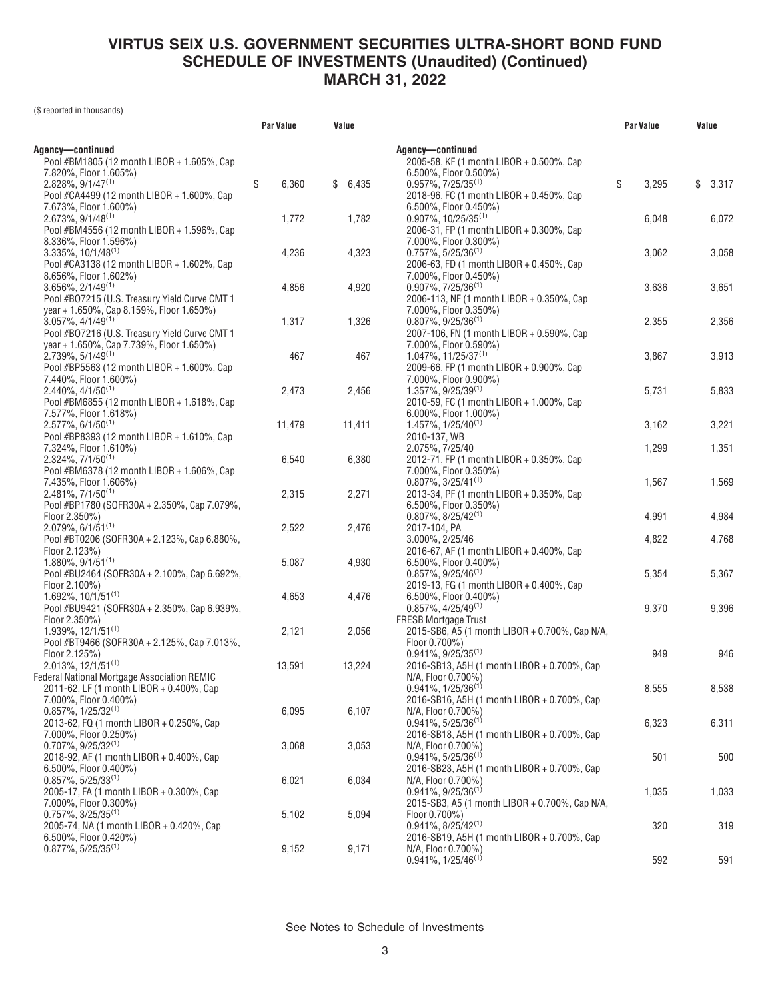(\$ reported in thousands)

|                                               | <b>Par Value</b> | Value       |                                                | Par Value   | Value       |
|-----------------------------------------------|------------------|-------------|------------------------------------------------|-------------|-------------|
| Agency-continued                              |                  |             | Agency-continued                               |             |             |
| Pool #BM1805 (12 month LIBOR + 1.605%, Cap    |                  |             | 2005-58, KF (1 month LIBOR + 0.500%, Cap       |             |             |
| 7.820%, Floor 1.605%)                         |                  |             | $6.500\%$ , Floor 0.500%)                      |             |             |
| $2.828\%, 9/1/47^{(1)}$                       | \$<br>6,360      | \$<br>6,435 | $0.957\%$ , $7/25/35^{(1)}$                    | \$<br>3,295 | \$<br>3,317 |
| Pool #CA4499 (12 month LIBOR + 1.600%, Cap    |                  |             | 2018-96, FC (1 month LIBOR + 0.450%, Cap       |             |             |
| 7.673%, Floor 1.600%)                         |                  |             | 6.500%, Floor 0.450%)                          |             |             |
| $2.673\%, 9/1/48^{(1)}$                       | 1,772            | 1,782       | $0.907\%$ , 10/25/35 <sup>(1)</sup>            | 6,048       | 6,072       |
| Pool #BM4556 (12 month LIBOR + 1.596%, Cap    |                  |             | 2006-31, FP (1 month LIBOR + 0.300%, Cap       |             |             |
| 8.336%, Floor 1.596%)                         |                  |             | 7.000%, Floor 0.300%)                          |             |             |
| $3.335\%$ , 10/1/48 <sup>(1)</sup>            | 4,236            | 4,323       | $0.757\%$ , 5/25/36 <sup>(1)</sup>             | 3,062       | 3,058       |
| Pool #CA3138 (12 month LIBOR + 1.602%, Cap    |                  |             | 2006-63, FD (1 month LIBOR + 0.450%, Cap       |             |             |
| 8.656%, Floor 1.602%)                         |                  |             | 7.000%, Floor 0.450%)                          |             |             |
| $3.656\%, 2/1/49^{(1)}$                       | 4,856            | 4,920       | $0.907\%$ , $7/25/36^{(1)}$                    | 3,636       | 3,651       |
| Pool #B07215 (U.S. Treasury Yield Curve CMT 1 |                  |             | 2006-113, NF (1 month LIBOR + 0.350%, Cap      |             |             |
| year + 1.650%, Cap 8.159%, Floor 1.650%)      |                  |             | 7.000%, Floor 0.350%)                          |             |             |
| $3.057\%$ , $4/1/49^{(1)}$                    | 1,317            | 1,326       | $0.807\%$ , 9/25/36 <sup>(1)</sup>             | 2,355       | 2,356       |
| Pool #B07216 (U.S. Treasury Yield Curve CMT 1 |                  |             | 2007-106, FN (1 month LIBOR + 0.590%, Cap      |             |             |
| year + 1.650%, Cap 7.739%, Floor 1.650%)      |                  |             | 7.000%, Floor 0.590%)                          |             |             |
| $2.739\%$ , 5/1/49 <sup>(1)</sup>             | 467              | 467         | $1.047\%$ , 11/25/37 <sup>(1)</sup>            | 3,867       | 3,913       |
| Pool #BP5563 (12 month LIBOR + 1.600%, Cap    |                  |             | 2009-66, FP (1 month LIBOR + 0.900%, Cap       |             |             |
| 7.440%, Floor 1.600%)                         |                  |             | 7.000%, Floor 0.900%)                          |             |             |
| $2.440\%$ , $4/1/50^{(1)}$                    | 2,473            | 2,456       | $1.357\%$ , 9/25/39 <sup>(1)</sup>             | 5,731       | 5,833       |
| Pool #BM6855 (12 month LIBOR + 1.618%, Cap    |                  |             | 2010-59, FC (1 month LIBOR + 1.000%, Cap       |             |             |
| 7.577%, Floor 1.618%)                         |                  |             | $6.000\%$ , Floor 1.000%)                      |             |             |
| $2.577\%$ , 6/1/50 <sup>(1)</sup>             | 11,479           | 11,411      | 1.457%, 1/25/40 <sup>(1)</sup>                 | 3,162       | 3,221       |
| Pool #BP8393 (12 month LIBOR + 1.610%, Cap    |                  |             | 2010-137, WB                                   |             |             |
| 7.324%, Floor 1.610%)                         |                  |             | 2.075%, 7/25/40                                | 1,299       | 1,351       |
| $2.324\%, 7/1/50^{(1)}$                       | 6,540            | 6,380       | 2012-71, FP (1 month LIBOR + 0.350%, Cap       |             |             |
| Pool #BM6378 (12 month LIBOR + 1.606%, Cap    |                  |             | 7.000%, Floor 0.350%)                          |             |             |
| 7.435%, Floor 1.606%)                         |                  |             | $0.807\%$ , 3/25/41 <sup>(1)</sup>             | 1,567       | 1,569       |
| $2.481\%, 7/1/50^{(1)}$                       | 2,315            | 2,271       | 2013-34, PF (1 month LIBOR + 0.350%, Cap       |             |             |
| Pool #BP1780 (SOFR30A + 2.350%, Cap 7.079%,   |                  |             | $6.500\%$ , Floor 0.350%)                      |             |             |
| Floor 2.350%)                                 |                  |             | $0.807\%$ , 8/25/42 <sup>(1)</sup>             | 4,991       | 4,984       |
| $2.079\%$ , 6/1/51 <sup>(1)</sup>             | 2,522            | 2,476       | 2017-104, PA                                   |             |             |
| Pool #BT0206 (SOFR30A + 2.123%, Cap 6.880%,   |                  |             | 3.000%, 2/25/46                                | 4,822       | 4,768       |
| Floor 2.123%)                                 |                  |             | 2016-67, AF (1 month LIBOR + 0.400%, Cap       |             |             |
| $1.880\%$ , 9/1/51 <sup>(1)</sup>             | 5,087            | 4,930       | 6.500%, Floor 0.400%)                          |             |             |
| Pool #BU2464 (SOFR30A + 2.100%, Cap 6.692%,   |                  |             | $0.857\%$ , 9/25/46 <sup>(1)</sup>             | 5,354       | 5,367       |
| Floor 2.100%)                                 |                  |             | 2019-13, FG (1 month LIBOR + 0.400%, Cap       |             |             |
| $1.692\%$ , $10/1/51^{(1)}$                   | 4,653            | 4,476       | 6.500%, Floor 0.400%)                          |             |             |
| Pool #BU9421 (SOFR30A + 2.350%, Cap 6.939%,   |                  |             | $0.857\%$ , 4/25/49 <sup>(1)</sup>             | 9,370       | 9,396       |
| Floor 2.350%)                                 |                  |             | <b>FRESB Mortgage Trust</b>                    |             |             |
| $1.939\%$ , $12/1/51^{(1)}$                   | 2,121            | 2,056       | 2015-SB6, A5 (1 month LIBOR + 0.700%, Cap N/A, |             |             |
| Pool #BT9466 (SOFR30A + 2.125%, Cap 7.013%,   |                  |             | Floor 0.700%)                                  |             |             |
| Floor 2.125%)                                 |                  |             | $0.941\%, 9/25/35^{(1)}$                       | 949         | 946         |
| 2.013%, 12/1/51(1)                            | 13,591           | 13,224      | 2016-SB13, A5H (1 month LIBOR + 0.700%, Cap    |             |             |
| Federal National Mortgage Association REMIC   |                  |             | N/A, Floor 0.700%)                             |             |             |
| 2011-62, LF (1 month LIBOR + 0.400%, Cap      |                  |             | $0.941\%, 1/25/36^{(1)}$                       | 8,555       | 8,538       |
| 7.000%, Floor 0.400%)                         |                  |             | 2016-SB16, A5H (1 month LIBOR + 0.700%, Cap    |             |             |
| $0.857\%$ , 1/25/32 <sup>(1)</sup>            | 6,095            | 6,107       | N/A, Floor 0.700%)                             |             |             |
| 2013-62, FQ (1 month LIBOR + 0.250%, Cap      |                  |             | $0.941\%$ , 5/25/36 <sup>(1)</sup>             | 6,323       | 6,311       |
| 7.000%, Floor 0.250%)                         |                  |             | 2016-SB18, A5H (1 month LIBOR + 0.700%, Cap    |             |             |
| $0.707\%$ , 9/25/32 <sup>(1)</sup>            | 3,068            | 3,053       | N/A, Floor 0.700%)                             |             |             |
| 2018-92, AF (1 month LIBOR + 0.400%, Cap      |                  |             | $0.941\%, 5/25/36^{(1)}$                       | 501         | 500         |
| 6.500%, Floor 0.400%)                         |                  |             | 2016-SB23, A5H (1 month LIBOR + 0.700%, Cap    |             |             |
| $0.857\%$ , 5/25/33 <sup>(1)</sup>            | 6,021            | 6,034       | N/A, Floor 0.700%)                             |             |             |
| 2005-17, FA (1 month LIBOR + 0.300%, Cap      |                  |             | $0.941\%$ , $9/25/36^{(1)}$                    | 1,035       | 1,033       |
| 7.000%, Floor 0.300%)                         |                  |             | 2015-SB3, A5 (1 month LIBOR + 0.700%, Cap N/A, |             |             |
| $0.757\%$ , 3/25/35 <sup>(1)</sup>            | 5,102            | 5,094       | Floor 0.700%)                                  |             |             |
| 2005-74, NA (1 month LIBOR + 0.420%, Cap      |                  |             | $0.941\%$ , $8/25/42^{(1)}$                    | 320         | 319         |
| 6.500%, Floor 0.420%)                         |                  |             | 2016-SB19, A5H (1 month LIBOR + 0.700%, Cap    |             |             |
| $0.877\%$ , 5/25/35 <sup>(1)</sup>            | 9,152            | 9,171       | N/A, Floor 0.700%)                             | 592         | 591         |
|                                               |                  |             | $0.941\%, 1/25/46^{(1)}$                       |             |             |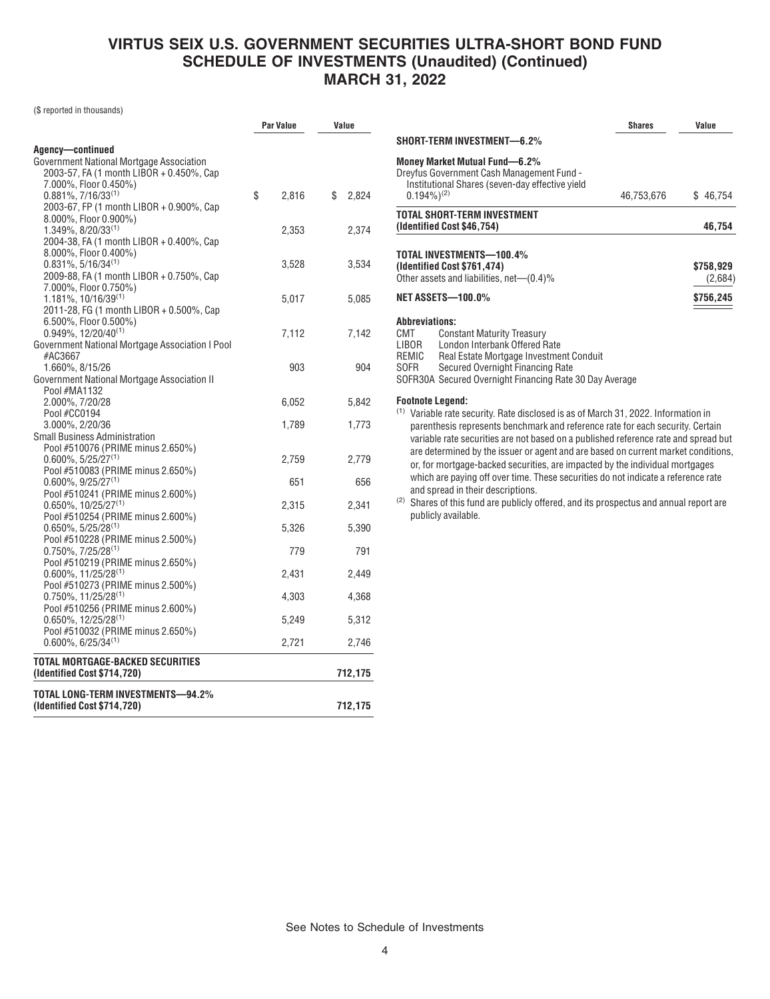(\$ reported in thousands)

|                                                                          | Par Value   | Value       |  |
|--------------------------------------------------------------------------|-------------|-------------|--|
| Agency-continued                                                         |             |             |  |
| Government National Mortgage Association                                 |             |             |  |
| 2003-57, FA (1 month LIBOR + 0.450%, Cap                                 |             |             |  |
| 7.000%, Floor 0.450%)                                                    |             |             |  |
| $0.881\%$ , $7/16/33^{(1)}$                                              | \$<br>2,816 | \$<br>2,824 |  |
| 2003-67, FP (1 month LIBOR + 0.900%, Cap<br>8.000%, Floor 0.900%)        |             |             |  |
| 1.349%, 8/20/33(1)                                                       | 2,353       | 2,374       |  |
| 2004-38, FA (1 month LIBOR + 0.400%, Cap                                 |             |             |  |
| 8.000%, Floor 0.400%)                                                    |             |             |  |
| $0.831\%, 5/16/34^{(1)}$                                                 | 3,528       | 3,534       |  |
| 2009-88, FA (1 month LIBOR + 0.750%, Cap                                 |             |             |  |
| 7.000%, Floor 0.750%)                                                    |             |             |  |
| $1.181\%$ , 10/16/39 <sup>(1)</sup>                                      | 5,017       | 5,085       |  |
| 2011-28, FG (1 month LIBOR + 0.500%, Cap                                 |             |             |  |
| 6.500%, Floor 0.500%)                                                    |             |             |  |
| $0.949\%$ , 12/20/40 <sup>(1)</sup>                                      | 7,112       | 7,142       |  |
| Government National Mortgage Association I Pool                          |             |             |  |
| #AC3667<br>1.660%, 8/15/26                                               | 903         | 904         |  |
| Government National Mortgage Association II                              |             |             |  |
| Pool #MA1132                                                             |             |             |  |
| 2.000%, 7/20/28                                                          | 6,052       | 5,842       |  |
| Pool #CC0194                                                             |             |             |  |
| 3.000%, 2/20/36                                                          | 1,789       | 1,773       |  |
| <b>Small Business Administration</b>                                     |             |             |  |
| Pool #510076 (PRIME minus 2.650%)                                        |             |             |  |
| $0.600\%$ , 5/25/27 <sup>(1)</sup>                                       | 2,759       | 2,779       |  |
| Pool #510083 (PRIME minus 2.650%)                                        |             |             |  |
| $0.600\%$ , 9/25/27 <sup>(1)</sup>                                       | 651         | 656         |  |
| Pool #510241 (PRIME minus 2.600%)                                        |             |             |  |
| $0.650\%$ , 10/25/27 <sup>(1)</sup><br>Pool #510254 (PRIME minus 2.600%) | 2,315       | 2,341       |  |
| $0.650\%$ , 5/25/28 <sup>(1)</sup>                                       | 5,326       | 5,390       |  |
| Pool #510228 (PRIME minus 2.500%)                                        |             |             |  |
| $0.750\%$ , $7/25/28^{(1)}$                                              | 779         | 791         |  |
| Pool #510219 (PRIME minus 2.650%)                                        |             |             |  |
| $0.600\%$ , 11/25/28 <sup>(1)</sup>                                      | 2,431       | 2,449       |  |
| Pool #510273 (PRIME minus 2.500%)                                        |             |             |  |
| $0.750\%$ , 11/25/28 <sup>(1)</sup>                                      | 4,303       | 4,368       |  |
| Pool #510256 (PRIME minus 2.600%)                                        |             |             |  |
| $0.650\%$ , 12/25/28 <sup>(1)</sup>                                      | 5,249       | 5,312       |  |
| Pool #510032 (PRIME minus 2.650%)                                        |             |             |  |
| $0.600\%$ , 6/25/34 <sup>(1)</sup>                                       | 2,721       | 2,746       |  |
| TOTAL MORTGAGE-BACKED SECURITIES                                         |             |             |  |
| (Identified Cost \$714,720)                                              |             | 712,175     |  |
| TOTAL LONG-TERM INVESTMENTS—94.2%                                        |             |             |  |
| (Identified Cost \$714,720)                                              |             | 712,175     |  |
|                                                                          |             |             |  |

|                                                                                                                                                                                                  |                                                                                                                               | <b>Shares</b> | Value                |
|--------------------------------------------------------------------------------------------------------------------------------------------------------------------------------------------------|-------------------------------------------------------------------------------------------------------------------------------|---------------|----------------------|
|                                                                                                                                                                                                  | SHORT-TERM INVESTMENT—6.2%                                                                                                    |               |                      |
| $0.194\%$ <sup>(2)</sup>                                                                                                                                                                         | Money Market Mutual Fund-6.2%<br>Dreyfus Government Cash Management Fund -<br>Institutional Shares (seven-day effective yield | 46,753,676    | \$46,754             |
|                                                                                                                                                                                                  | <b>TOTAL SHORT-TERM INVESTMENT</b>                                                                                            |               |                      |
|                                                                                                                                                                                                  | (Identified Cost \$46,754)                                                                                                    |               | 46,754               |
|                                                                                                                                                                                                  | TOTAL INVESTMENTS-100.4%<br>(Identified Cost \$761,474)<br>Other assets and liabilities, net-(0.4)%                           |               | \$758,929<br>(2,684) |
|                                                                                                                                                                                                  | <b>NET ASSETS-100.0%</b>                                                                                                      |               | \$756,245            |
| SOFR                                                                                                                                                                                             | Secured Overnight Financing Rate<br>SOFR30A Secured Overnight Financing Rate 30 Day Average                                   |               |                      |
| <b>Footnote Legend:</b><br>parenthesis represents benchmark and reference rate for each security. Certain<br>variable rate securities are not based on a published reference rate and spread but | <sup>(1)</sup> Variable rate security. Rate disclosed is as of March 31, 2022. Information in                                 |               |                      |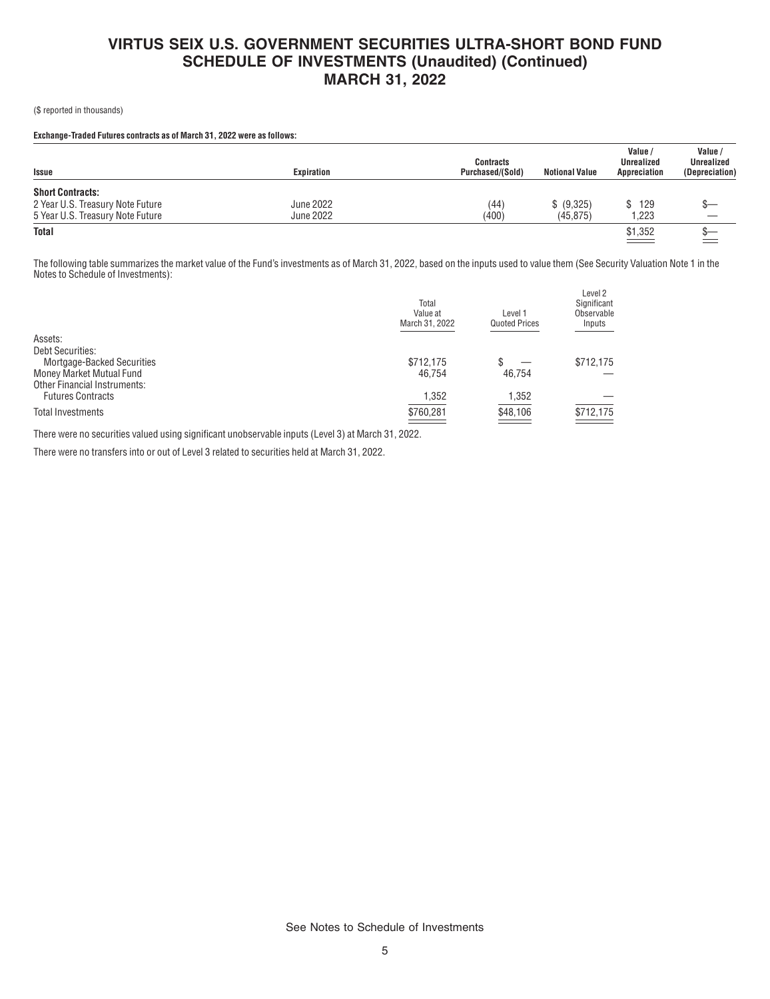(\$ reported in thousands)

#### **Exchange-Traded Futures contracts as of March 31, 2022 were as follows:**

| <b>Issue</b>                     | Expiration       | <b>Contracts</b><br>Purchased/(Sold) | <b>Notional Value</b> | Value /<br><b>Unrealized</b><br>Appreciation | Value<br><b>Unrealized</b><br>(Depreciation) |
|----------------------------------|------------------|--------------------------------------|-----------------------|----------------------------------------------|----------------------------------------------|
| <b>Short Contracts:</b>          |                  |                                      |                       |                                              |                                              |
| 2 Year U.S. Treasury Note Future | <b>June 2022</b> | (44)                                 | \$ (9,325)            | 129<br>SS.                                   |                                              |
| 5 Year U.S. Treasury Note Future | <b>June 2022</b> | (400)                                | (45, 875)             | 1,223                                        |                                              |
| <b>Total</b>                     |                  |                                      |                       | \$1,352                                      |                                              |

The following table summarizes the market value of the Fund's investments as of March 31, 2022, based on the inputs used to value them (See Security Valuation Note 1 in the Notes to Schedule of Investments):

|                                     | Total<br>Value at<br>March 31, 2022 | Level 1<br><b>Quoted Prices</b> | Level 2<br>Significant<br>Observable<br>Inputs |
|-------------------------------------|-------------------------------------|---------------------------------|------------------------------------------------|
| Assets:                             |                                     |                                 |                                                |
| <b>Debt Securities:</b>             |                                     |                                 |                                                |
| Mortgage-Backed Securities          | \$712.175                           | \$                              | \$712,175                                      |
| Money Market Mutual Fund            | 46.754                              | 46.754                          |                                                |
| <b>Other Financial Instruments:</b> |                                     |                                 |                                                |
| <b>Futures Contracts</b>            | 1,352                               | 1,352                           |                                                |
| <b>Total Investments</b>            | \$760,281                           | \$48,106                        | \$712,175                                      |
|                                     |                                     |                                 |                                                |

There were no securities valued using significant unobservable inputs (Level 3) at March 31, 2022.

There were no transfers into or out of Level 3 related to securities held at March 31, 2022.